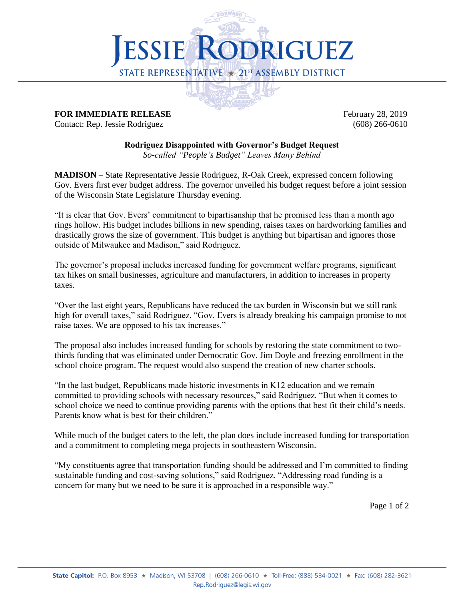

## **FOR IMMEDIATE RELEASE** February 28, 2019

Contact: Rep. Jessie Rodriguez (608) 266-0610

## **Rodriguez Disappointed with Governor's Budget Request**

*So-called "People's Budget" Leaves Many Behind*

**MADISON** – State Representative Jessie Rodriguez, R-Oak Creek, expressed concern following Gov. Evers first ever budget address. The governor unveiled his budget request before a joint session of the Wisconsin State Legislature Thursday evening.

"It is clear that Gov. Evers' commitment to bipartisanship that he promised less than a month ago rings hollow. His budget includes billions in new spending, raises taxes on hardworking families and drastically grows the size of government. This budget is anything but bipartisan and ignores those outside of Milwaukee and Madison," said Rodriguez.

The governor's proposal includes increased funding for government welfare programs, significant tax hikes on small businesses, agriculture and manufacturers, in addition to increases in property taxes.

"Over the last eight years, Republicans have reduced the tax burden in Wisconsin but we still rank high for overall taxes," said Rodriguez. "Gov. Evers is already breaking his campaign promise to not raise taxes. We are opposed to his tax increases."

The proposal also includes increased funding for schools by restoring the state commitment to twothirds funding that was eliminated under Democratic Gov. Jim Doyle and freezing enrollment in the school choice program. The request would also suspend the creation of new charter schools.

"In the last budget, Republicans made historic investments in K12 education and we remain committed to providing schools with necessary resources," said Rodriguez. "But when it comes to school choice we need to continue providing parents with the options that best fit their child's needs. Parents know what is best for their children."

While much of the budget caters to the left, the plan does include increased funding for transportation and a commitment to completing mega projects in southeastern Wisconsin.

"My constituents agree that transportation funding should be addressed and I'm committed to finding sustainable funding and cost-saving solutions," said Rodriguez. "Addressing road funding is a concern for many but we need to be sure it is approached in a responsible way."

Page 1 of 2